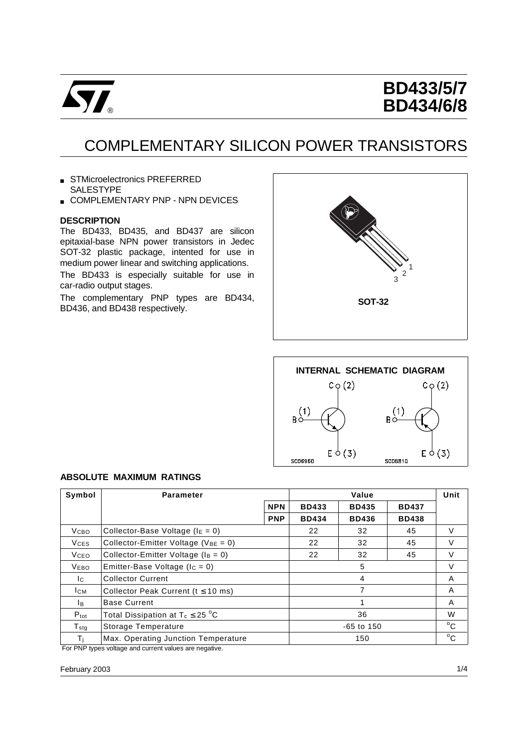

# **BD433/5/7 BD434/6/8**

# COMPLEMENTARY SILICON POWER TRANSISTORS

- STMicroelectronics PREFERRED SALESTYPE
- **E COMPLEMENTARY PNP NPN DEVICES**

#### **DESCRIPTION**

The BD433, BD435, and BD437 are silicon epitaxial-base NPN power transistors in Jedec SOT-32 plastic package, intented for use in medium power linear and switching applications. The BD433 is especially suitable for use in car-radio output stages.

The complementary PNP types are BD434, BD436, and BD438 respectively.





#### **ABSOLUTE MAXIMUM RATINGS**

| Symbol           | <b>Parameter</b>                           |              | Value        |              |              | Unit         |
|------------------|--------------------------------------------|--------------|--------------|--------------|--------------|--------------|
|                  | <b>NPN</b>                                 |              | <b>BD433</b> | <b>BD435</b> | <b>BD437</b> |              |
|                  |                                            | <b>PNP</b>   | <b>BD434</b> | <b>BD436</b> | <b>BD438</b> |              |
| V <sub>CBO</sub> | Collector-Base Voltage ( $I_E = 0$ )       |              | 22           | 32           | 45           | V            |
| <b>V</b> ces     | Collector-Emitter Voltage ( $V_{BE} = 0$ ) |              | 22           | 32           | 45           | $\vee$       |
| VCEO             | Collector-Emitter Voltage ( $I_B = 0$ )    |              | 22           | 32           | 45           | V            |
| <b>VEBO</b>      | Emitter-Base Voltage ( $I_c = 0$ )         |              | V            |              |              |              |
| Ic.              | <b>Collector Current</b>                   | 4            |              |              | A            |              |
| <b>I</b> CM      | Collector Peak Current ( $t \le 10$ ms)    |              | 7            |              |              | A            |
| Iв.              | <b>Base Current</b>                        |              |              |              |              | A            |
| $P_{\text{tot}}$ | Total Dissipation at $T_c \leq 25$ °C      |              | W            |              |              |              |
| $T_{\rm stg}$    | Storage Temperature                        | $-65$ to 150 |              |              |              | $^{\circ}$ C |
| Τı               | Max. Operating Junction Temperature        | 150          |              |              | $^{\circ}$ C |              |

For PNP types voltage and current values are negative.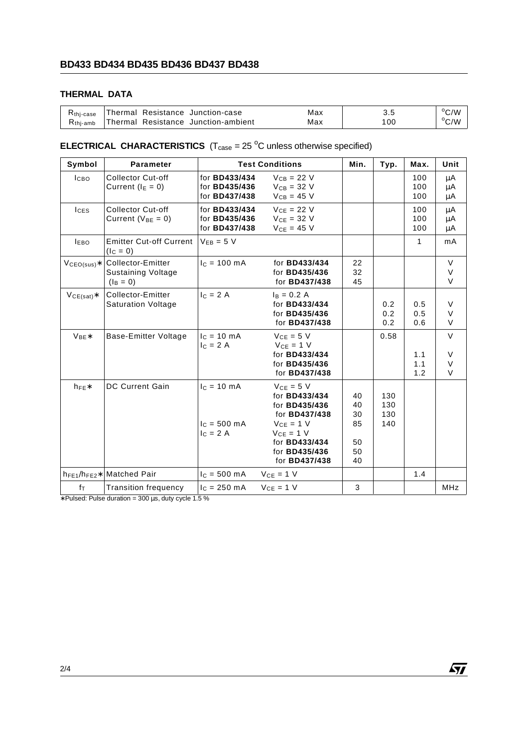## **BD433 BD434 BD435 BD436 BD437 BD438**

### **THERMAL DATA**

| K <sub>thi-case</sub> |  | Thermal Resistance Junction-case    | Max | ບ.ບ | $\rm ^{o}C/W$  |
|-----------------------|--|-------------------------------------|-----|-----|----------------|
| $R_{\text{thi-amb}}$  |  | Thermal Resistance Junction-ambient | Max | 00  | $^{\circ}$ C/W |

### **ELECTRICAL CHARACTERISTICS**  $(T_{\text{case}} = 25 \text{ °C}$  unless otherwise specified)

| Symbol             | <b>Parameter</b>                                              | <b>Test Conditions</b>                                               | Min.                                                                                                                                                                                        | Typ.                                   | Max.                     | Unit              |                                 |
|--------------------|---------------------------------------------------------------|----------------------------------------------------------------------|---------------------------------------------------------------------------------------------------------------------------------------------------------------------------------------------|----------------------------------------|--------------------------|-------------------|---------------------------------|
| <b>ICBO</b>        | <b>Collector Cut-off</b><br>Current ( $I_E = 0$ )             | for <b>BD433/434</b><br>for <b>BD435/436</b><br>for <b>BD437/438</b> | $V_{CB} = 22 V$<br>$V_{CB} = 32 V$<br>$V_{CB} = 45 V$                                                                                                                                       |                                        |                          | 100<br>100<br>100 | μA<br>μA<br>μA                  |
| $I_{CES}$          | <b>Collector Cut-off</b><br>Current ( $V_{BE} = 0$ )          | for <b>BD433/434</b><br>for <b>BD435/436</b><br>for <b>BD437/438</b> | $V_{CE} = 22 V$<br>$V_{CE} = 32 V$<br>$V_{CE}$ = 45 V                                                                                                                                       |                                        |                          | 100<br>100<br>100 | $\mu$ A<br>$\mu$ A<br>μA        |
| <b>IEBO</b>        | <b>Emitter Cut-off Current</b><br>$(lC = 0)$                  | $V_{EB} = 5 V$                                                       |                                                                                                                                                                                             |                                        |                          | 1                 | mA                              |
| $VCEO(sus)*$       | Collector-Emitter<br><b>Sustaining Voltage</b><br>$(I_B = 0)$ | $I_c = 100 \text{ mA}$                                               | for <b>BD433/434</b><br>for <b>BD435/436</b><br>for <b>BD437/438</b>                                                                                                                        | 22<br>32<br>45                         |                          |                   | $\vee$<br>V<br>$\vee$           |
| $VCE(sat)$ *       | Collector-Emitter<br><b>Saturation Voltage</b>                | $IC = 2 A$                                                           | $I_B = 0.2 A$<br>for BD433/434<br>for <b>BD435/436</b><br>for <b>BD437/438</b>                                                                                                              |                                        | 0.2<br>0.2<br>0.2        | 0.5<br>0.5<br>0.6 | $\vee$<br>V<br>V                |
| $V_{BE}$           | Base-Emitter Voltage                                          | $c = 10$ mA<br>$I_C = 2 A$                                           | $V_{CE} = 5 V$<br>$V_{CE} = 1 V$<br>for <b>BD433/434</b><br>for <b>BD435/436</b><br>for <b>BD437/438</b>                                                                                    |                                        | 0.58                     | 1.1<br>1.1<br>1.2 | $\mathsf V$<br>V<br>V<br>$\vee$ |
| $h_{FE}$           | <b>DC Current Gain</b>                                        | $c = 10 \text{ mA}$<br>$I_C = 500 \text{ mA}$<br>$IC = 2 A$          | $V_{CE} = 5 V$<br>for <b>BD433/434</b><br>for BD435/436<br>for <b>BD437/438</b><br>$V_{CE} = 1 V$<br>$V_{CE} = 1 V$<br>for <b>BD433/434</b><br>for <b>BD435/436</b><br>for <b>BD437/438</b> | 40<br>40<br>30<br>85<br>50<br>50<br>40 | 130<br>130<br>130<br>140 |                   |                                 |
| $h_{FE1}/h_{FE2}*$ | <b>Matched Pair</b>                                           | $c = 500 \text{ mA}$                                                 | $V_{CE} = 1 V$                                                                                                                                                                              |                                        |                          | 1.4               |                                 |
| fτ                 | <b>Transition frequency</b>                                   | $I_c = 250$ mA                                                       | $V_{CE} = 1 V$                                                                                                                                                                              | 3                                      |                          |                   | <b>MHz</b>                      |

∗ Pulsed: Pulse duration = 300 µs, duty cycle 1.5 %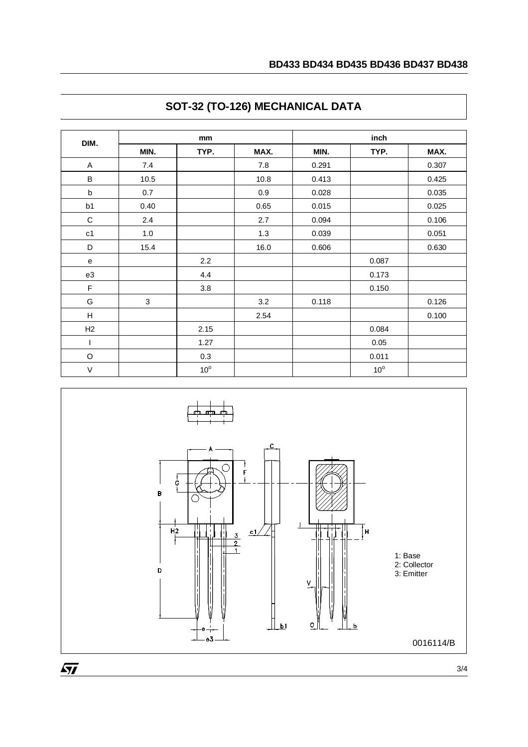| DIM.           | mm             |              |      | inch  |              |       |  |
|----------------|----------------|--------------|------|-------|--------------|-------|--|
|                | MIN.           | TYP.         | MAX. | MIN.  | TYP.         | MAX.  |  |
| A              | 7.4            |              | 7.8  | 0.291 |              | 0.307 |  |
| B              | 10.5           |              | 10.8 | 0.413 |              | 0.425 |  |
| $\mathsf b$    | 0.7            |              | 0.9  | 0.028 |              | 0.035 |  |
| b <sub>1</sub> | 0.40           |              | 0.65 | 0.015 |              | 0.025 |  |
| C              | 2.4            |              | 2.7  | 0.094 |              | 0.106 |  |
| c1             | 1.0            |              | 1.3  | 0.039 |              | 0.051 |  |
| D              | 15.4           |              | 16.0 | 0.606 |              | 0.630 |  |
| e              |                | 2.2          |      |       | 0.087        |       |  |
| e3             |                | 4.4          |      |       | 0.173        |       |  |
| F              |                | 3.8          |      |       | 0.150        |       |  |
| G              | $\mathfrak{S}$ |              | 3.2  | 0.118 |              | 0.126 |  |
| H              |                |              | 2.54 |       |              | 0.100 |  |
| H2             |                | 2.15         |      |       | 0.084        |       |  |
| ı              |                | 1.27         |      |       | 0.05         |       |  |
| O              |                | 0.3          |      |       | 0.011        |       |  |
| $\vee$         |                | $10^{\circ}$ |      |       | $10^{\circ}$ |       |  |